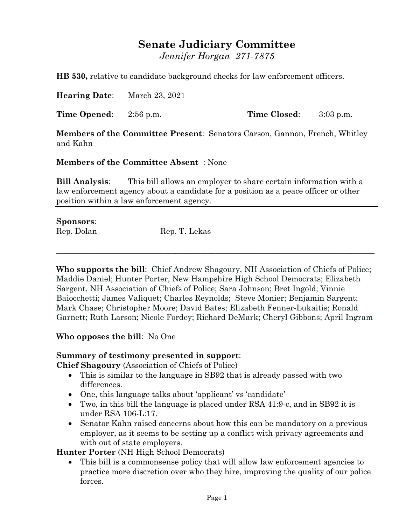## **Senate Judiciary Committee**

*Jennifer Horgan 271-7875*

**HB 530,** relative to candidate background checks for law enforcement officers.

**Hearing Date**: March 23, 2021

**Time Opened**: 2:56 p.m. **Time Closed**: 3:03 p.m.

**Members of the Committee Present**: Senators Carson, Gannon, French, Whitley and Kahn

**Members of the Committee Absent** : None

**Bill Analysis**: This bill allows an employer to share certain information with a law enforcement agency about a candidate for a position as a peace officer or other position within a law enforcement agency.

## **Sponsors**:

Rep. Dolan Rep. T. Lekas

**Who supports the bill**: Chief Andrew Shagoury, NH Association of Chiefs of Police; Maddie Daniel; Hunter Porter, New Hampshire High School Democrats; Elizabeth Sargent, NH Association of Chiefs of Police; Sara Johnson; Bret Ingold; Vinnie Baiocchetti; James Valiquet; Charles Reynolds; Steve Monier; Benjamin Sargent; Mark Chase; Christopher Moore; David Bates; Elizabeth Fenner-Lukaitis; Ronald Garnett; Ruth Larson; Nicole Fordey; Richard DeMark; Cheryl Gibbons; April Ingram

 $\_$  , and the set of the set of the set of the set of the set of the set of the set of the set of the set of the set of the set of the set of the set of the set of the set of the set of the set of the set of the set of th

**Who opposes the bill**: No One

## **Summary of testimony presented in support**:

**Chief Shagoury** (Association of Chiefs of Police)

- This is similar to the language in SB92 that is already passed with two differences.
- One, this language talks about 'applicant' vs 'candidate'
- Two, in this bill the language is placed under RSA 41:9-c, and in SB92 it is under RSA 106-L:17.
- Senator Kahn raised concerns about how this can be mandatory on a previous employer, as it seems to be setting up a conflict with privacy agreements and with out of state employers.

**Hunter Porter** (NH High School Democrats)

 This bill is a commonsense policy that will allow law enforcement agencies to practice more discretion over who they hire, improving the quality of our police forces.